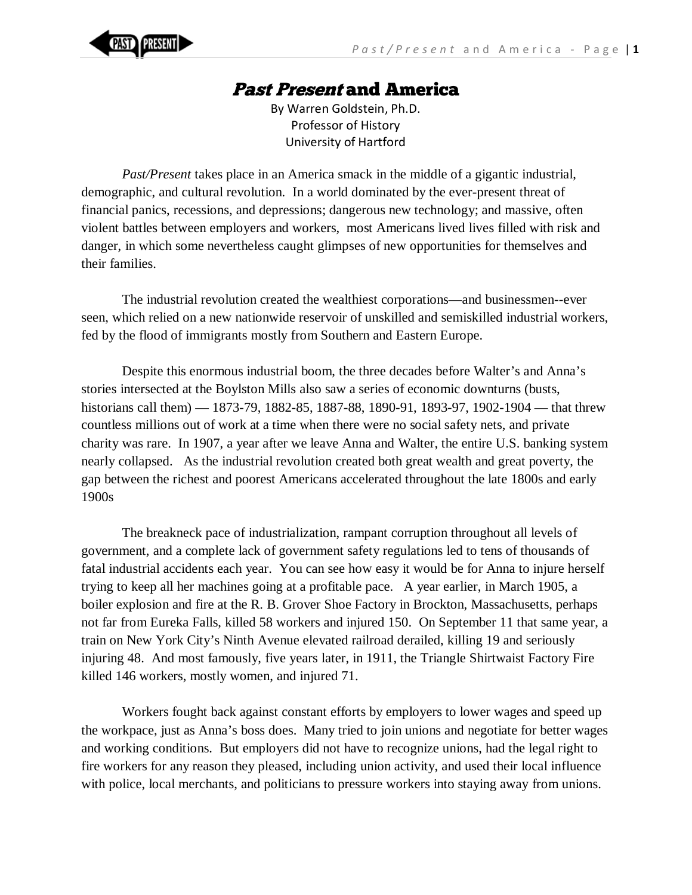

## Past Present and America

By Warren Goldstein, Ph.D. Professor of History University of Hartford

*Past/Present* takes place in an America smack in the middle of a gigantic industrial, demographic, and cultural revolution. In a world dominated by the ever-present threat of financial panics, recessions, and depressions; dangerous new technology; and massive, often violent battles between employers and workers, most Americans lived lives filled with risk and danger, in which some nevertheless caught glimpses of new opportunities for themselves and their families.

The industrial revolution created the wealthiest corporations—and businessmen--ever seen, which relied on a new nationwide reservoir of unskilled and semiskilled industrial workers, fed by the flood of immigrants mostly from Southern and Eastern Europe.

Despite this enormous industrial boom, the three decades before Walter's and Anna's stories intersected at the Boylston Mills also saw a series of economic downturns (busts, historians call them) — 1873-79, 1882-85, 1887-88, 1890-91, 1893-97, 1902-1904 — that threw countless millions out of work at a time when there were no social safety nets, and private charity was rare. In 1907, a year after we leave Anna and Walter, the entire U.S. banking system nearly collapsed. As the industrial revolution created both great wealth and great poverty, the gap between the richest and poorest Americans accelerated throughout the late 1800s and early 1900s

The breakneck pace of industrialization, rampant corruption throughout all levels of government, and a complete lack of government safety regulations led to tens of thousands of fatal industrial accidents each year. You can see how easy it would be for Anna to injure herself trying to keep all her machines going at a profitable pace. A year earlier, in March 1905, a boiler explosion and fire at the R. B. Grover Shoe Factory in Brockton, Massachusetts, perhaps not far from Eureka Falls, killed 58 workers and injured 150. On September 11 that same year, a train on New York City's Ninth Avenue elevated railroad derailed, killing 19 and seriously injuring 48. And most famously, five years later, in 1911, the Triangle Shirtwaist Factory Fire killed 146 workers, mostly women, and injured 71.

Workers fought back against constant efforts by employers to lower wages and speed up the workpace, just as Anna's boss does. Many tried to join unions and negotiate for better wages and working conditions. But employers did not have to recognize unions, had the legal right to fire workers for any reason they pleased, including union activity, and used their local influence with police, local merchants, and politicians to pressure workers into staying away from unions.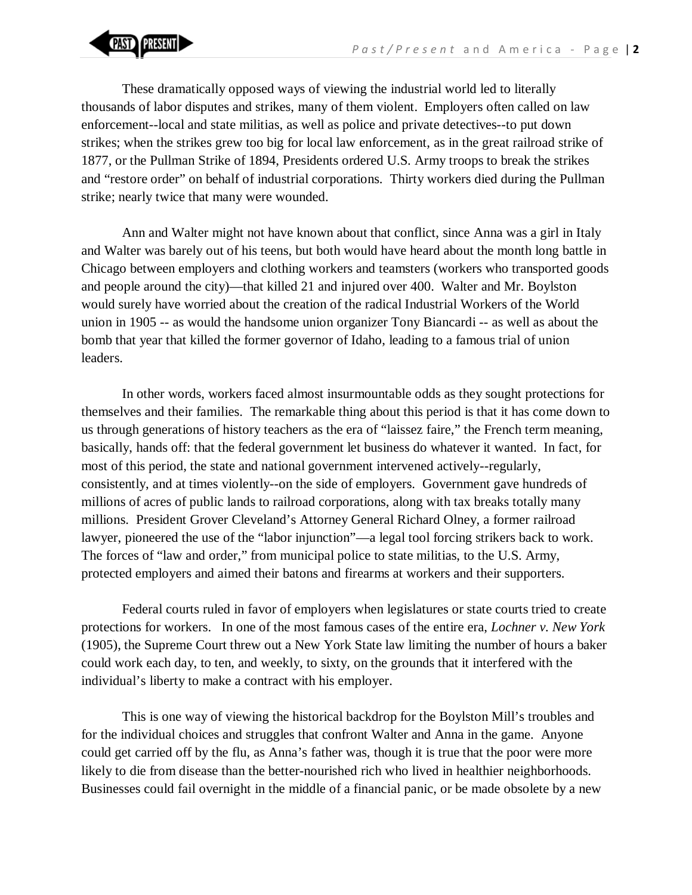

These dramatically opposed ways of viewing the industrial world led to literally thousands of labor disputes and strikes, many of them violent. Employers often called on law enforcement--local and state militias, as well as police and private detectives--to put down strikes; when the strikes grew too big for local law enforcement, as in the great railroad strike of 1877, or the Pullman Strike of 1894, Presidents ordered U.S. Army troops to break the strikes and "restore order" on behalf of industrial corporations. Thirty workers died during the Pullman strike; nearly twice that many were wounded.

Ann and Walter might not have known about that conflict, since Anna was a girl in Italy and Walter was barely out of his teens, but both would have heard about the month long battle in Chicago between employers and clothing workers and teamsters (workers who transported goods and people around the city)—that killed 21 and injured over 400. Walter and Mr. Boylston would surely have worried about the creation of the radical Industrial Workers of the World union in 1905 -- as would the handsome union organizer Tony Biancardi -- as well as about the bomb that year that killed the former governor of Idaho, leading to a famous trial of union leaders.

In other words, workers faced almost insurmountable odds as they sought protections for themselves and their families. The remarkable thing about this period is that it has come down to us through generations of history teachers as the era of "laissez faire," the French term meaning, basically, hands off: that the federal government let business do whatever it wanted. In fact, for most of this period, the state and national government intervened actively--regularly, consistently, and at times violently--on the side of employers. Government gave hundreds of millions of acres of public lands to railroad corporations, along with tax breaks totally many millions. President Grover Cleveland's Attorney General Richard Olney, a former railroad lawyer, pioneered the use of the "labor injunction"—a legal tool forcing strikers back to work. The forces of "law and order," from municipal police to state militias, to the U.S. Army, protected employers and aimed their batons and firearms at workers and their supporters.

Federal courts ruled in favor of employers when legislatures or state courts tried to create protections for workers. In one of the most famous cases of the entire era, *Lochner v. New York* (1905), the Supreme Court threw out a New York State law limiting the number of hours a baker could work each day, to ten, and weekly, to sixty, on the grounds that it interfered with the individual's liberty to make a contract with his employer.

This is one way of viewing the historical backdrop for the Boylston Mill's troubles and for the individual choices and struggles that confront Walter and Anna in the game. Anyone could get carried off by the flu, as Anna's father was, though it is true that the poor were more likely to die from disease than the better-nourished rich who lived in healthier neighborhoods. Businesses could fail overnight in the middle of a financial panic, or be made obsolete by a new